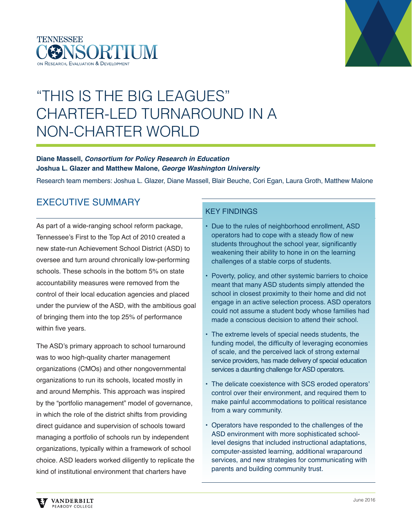



# "THIS IS THE BIG LEAGUES" CHARTER-LED TURNAROUND IN A NON-CHARTER WORLD

#### **Diane Massell,** *Consortium for Policy Research in Education*  **Joshua L. Glazer and Matthew Malone,** *George Washington University*

Research team members: Joshua L. Glazer, Diane Massell, Blair Beuche, Cori Egan, Laura Groth, Matthew Malone

# EXECUTIVE SUMMARY

As part of a wide-ranging school reform package, Tennessee's First to the Top Act of 2010 created a new state-run Achievement School District (ASD) to oversee and turn around chronically low-performing schools. These schools in the bottom 5% on state accountability measures were removed from the control of their local education agencies and placed under the purview of the ASD, with the ambitious goal of bringing them into the top 25% of performance within five years.

The ASD's primary approach to school turnaround was to woo high-quality charter management organizations (CMOs) and other nongovernmental organizations to run its schools, located mostly in and around Memphis. This approach was inspired by the "portfolio management" model of governance, in which the role of the district shifts from providing direct guidance and supervision of schools toward managing a portfolio of schools run by independent organizations, typically within a framework of school choice. ASD leaders worked diligently to replicate the kind of institutional environment that charters have

### KEY FINDINGS

- Due to the rules of neighborhood enrollment, ASD operators had to cope with a steady flow of new students throughout the school year, significantly weakening their ability to hone in on the learning challenges of a stable corps of students.
- Poverty, policy, and other systemic barriers to choice meant that many ASD students simply attended the school in closest proximity to their home and did not engage in an active selection process. ASD operators could not assume a student body whose families had made a conscious decision to attend their school.
- The extreme levels of special needs students, the funding model, the difficulty of leveraging economies of scale, and the perceived lack of strong external service providers, has made delivery of special education services a daunting challenge for ASD operators.
- The delicate coexistence with SCS eroded operators' control over their environment, and required them to make painful accommodations to political resistance from a wary community.
- Operators have responded to the challenges of the ASD environment with more sophisticated schoollevel designs that included instructional adaptations, computer-assisted learning, additional wraparound services, and new strategies for communicating with parents and building community trust.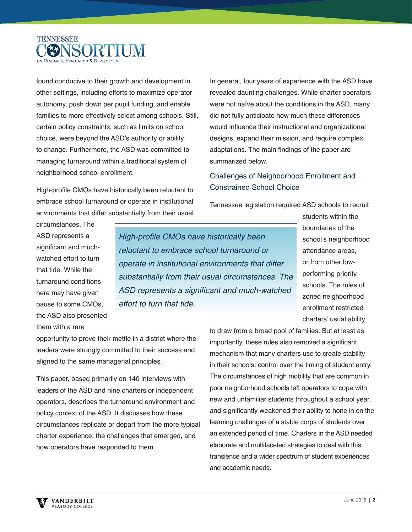

found conducive to their growth and development in other settings, including efforts to maximize operator autonomy, push down per pupil funding, and enable families to more effectively select among schools. Still, certain policy constraints, such as limits on school choice, were beyond the ASD's authority or ability to change. Furthermore, the ASD was committed to managing turnaround within a traditional system of neighborhood school enrollment.

High-profile CMOs have historically been reluctant to embrace school turnaround or operate in institutional environments that differ substantially from their usual In general, four years of experience with the ASD have revealed daunting challenges. While charter operators were not naïve about the conditions in the ASD, many did not fully anticipate how much these differences would influence their instructional and organizational designs, expand their mission, and require complex adaptations. The main findings of the paper are summarized below.

### Challenges of Neighborhood Enrollment and Constrained School Choice

Tennessee legislation required ASD schools to recruit

circumstances. The ASD represents a significant and muchwatched effort to turn that tide. While the turnaround conditions here may have given pause to some CMOs, the ASD also presented them with a rare

High-profile CMOs have historically been reluctant to embrace school turnaround or operate in institutional environments that differ substantially from their usual circumstances. The ASD represents a significant and much-watched effort to turn that tide.

students within the boundaries of the school's neighborhood attendance areas, or from other lowperforming priority schools. The rules of zoned neighborhood enrollment restricted charters' usual ability

opportunity to prove their mettle in a district where the leaders were strongly committed to their success and aligned to the same managerial principles.

This paper, based primarily on 140 interviews with leaders of the ASD and nine charters or independent operators, describes the turnaround environment and policy context of the ASD. It discusses how these circumstances replicate or depart from the more typical charter experience, the challenges that emerged, and how operators have responded to them.

to draw from a broad pool of families. But at least as importantly, these rules also removed a significant mechanism that many charters use to create stability in their schools: control over the timing of student entry. The circumstances of high mobility that are common in poor neighborhood schools left operators to cope with new and unfamiliar students throughout a school year, and significantly weakened their ability to hone in on the learning challenges of a stable corps of students over an extended period of time. Charters in the ASD needed elaborate and multifaceted strategies to deal with this transience and a wider spectrum of student experiences and academic needs.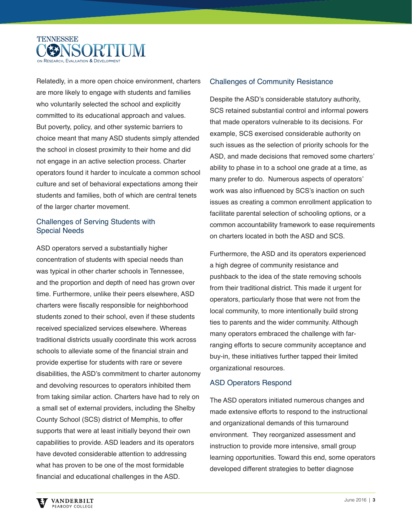

Relatedly, in a more open choice environment, charters are more likely to engage with students and families who voluntarily selected the school and explicitly committed to its educational approach and values. But poverty, policy, and other systemic barriers to choice meant that many ASD students simply attended the school in closest proximity to their home and did not engage in an active selection process. Charter operators found it harder to inculcate a common school culture and set of behavioral expectations among their students and families, both of which are central tenets of the larger charter movement.

#### Challenges of Serving Students with Special Needs

ASD operators served a substantially higher concentration of students with special needs than was typical in other charter schools in Tennessee, and the proportion and depth of need has grown over time. Furthermore, unlike their peers elsewhere, ASD charters were fiscally responsible for neighborhood students zoned to their school, even if these students received specialized services elsewhere. Whereas traditional districts usually coordinate this work across schools to alleviate some of the financial strain and provide expertise for students with rare or severe disabilities, the ASD's commitment to charter autonomy and devolving resources to operators inhibited them from taking similar action. Charters have had to rely on a small set of external providers, including the Shelby County School (SCS) district of Memphis, to offer supports that were at least initially beyond their own capabilities to provide. ASD leaders and its operators have devoted considerable attention to addressing what has proven to be one of the most formidable financial and educational challenges in the ASD.

#### Challenges of Community Resistance

Despite the ASD's considerable statutory authority, SCS retained substantial control and informal powers that made operators vulnerable to its decisions. For example, SCS exercised considerable authority on such issues as the selection of priority schools for the ASD, and made decisions that removed some charters' ability to phase in to a school one grade at a time, as many prefer to do. Numerous aspects of operators' work was also influenced by SCS's inaction on such issues as creating a common enrollment application to facilitate parental selection of schooling options, or a common accountability framework to ease requirements on charters located in both the ASD and SCS.

Furthermore, the ASD and its operators experienced a high degree of community resistance and pushback to the idea of the state removing schools from their traditional district. This made it urgent for operators, particularly those that were not from the local community, to more intentionally build strong ties to parents and the wider community. Although many operators embraced the challenge with farranging efforts to secure community acceptance and buy-in, these initiatives further tapped their limited organizational resources.

#### ASD Operators Respond

The ASD operators initiated numerous changes and made extensive efforts to respond to the instructional and organizational demands of this turnaround environment. They reorganized assessment and instruction to provide more intensive, small group learning opportunities. Toward this end, some operators developed different strategies to better diagnose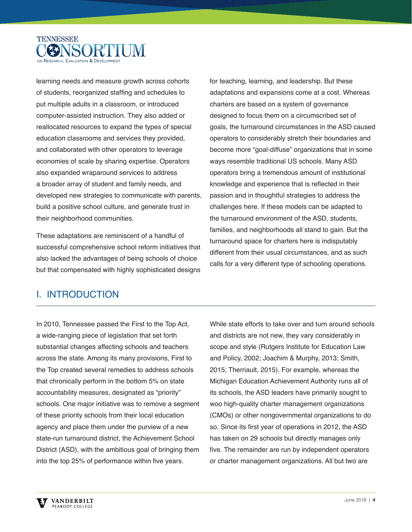

learning needs and measure growth across cohorts of students, reorganized staffing and schedules to put multiple adults in a classroom, or introduced computer-assisted instruction. They also added or reallocated resources to expand the types of special education classrooms and services they provided, and collaborated with other operators to leverage economies of scale by sharing expertise. Operators also expanded wraparound services to address a broader array of student and family needs, and developed new strategies to communicate with parents, build a positive school culture, and generate trust in their neighborhood communities.

These adaptations are reminiscent of a handful of successful comprehensive school reform initiatives that also lacked the advantages of being schools of choice but that compensated with highly sophisticated designs

for teaching, learning, and leadership. But these adaptations and expansions come at a cost. Whereas charters are based on a system of governance designed to focus them on a circumscribed set of goals, the turnaround circumstances in the ASD caused operators to considerably stretch their boundaries and become more "goal-diffuse" organizations that in some ways resemble traditional US schools. Many ASD operators bring a tremendous amount of institutional knowledge and experience that is reflected in their passion and in thoughtful strategies to address the challenges here. If these models can be adapted to the turnaround environment of the ASD, students, families, and neighborhoods all stand to gain. But the turnaround space for charters here is indisputably different from their usual circumstances, and as such calls for a very different type of schooling operations.

### I. INTRODUCTION

In 2010, Tennessee passed the First to the Top Act, a wide-ranging piece of legislation that set forth substantial changes affecting schools and teachers across the state. Among its many provisions, First to the Top created several remedies to address schools that chronically perform in the bottom 5% on state accountability measures, designated as "priority" schools. One major initiative was to remove a segment of these priority schools from their local education agency and place them under the purview of a new state-run turnaround district, the Achievement School District (ASD), with the ambitious goal of bringing them into the top 25% of performance within five years.

While state efforts to take over and turn around schools and districts are not new, they vary considerably in scope and style (Rutgers Institute for Education Law and Policy, 2002; Joachim & Murphy, 2013; Smith, 2015; Therriault, 2015). For example, whereas the Michigan Education Achievement Authority runs all of its schools, the ASD leaders have primarily sought to woo high-quality charter management organizations (CMOs) or other nongovernmental organizations to do so. Since its first year of operations in 2012, the ASD has taken on 29 schools but directly manages only five. The remainder are run by independent operators or charter management organizations. All but two are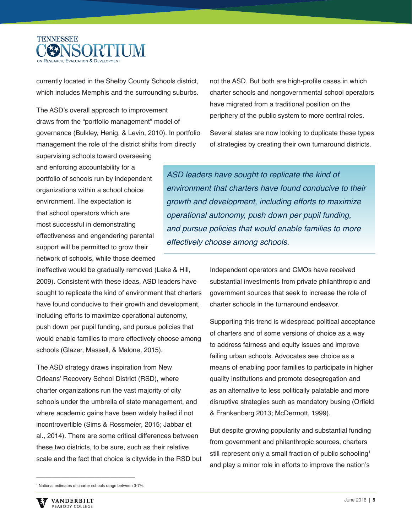

currently located in the Shelby County Schools district, which includes Memphis and the surrounding suburbs.

The ASD's overall approach to improvement draws from the "portfolio management" model of governance (Bulkley, Henig, & Levin, 2010). In portfolio management the role of the district shifts from directly

supervising schools toward overseeing and enforcing accountability for a portfolio of schools run by independent organizations within a school choice environment. The expectation is that school operators which are most successful in demonstrating effectiveness and engendering parental support will be permitted to grow their network of schools, while those deemed

ineffective would be gradually removed (Lake & Hill, 2009). Consistent with these ideas, ASD leaders have sought to replicate the kind of environment that charters have found conducive to their growth and development, including efforts to maximize operational autonomy, push down per pupil funding, and pursue policies that would enable families to more effectively choose among schools (Glazer, Massell, & Malone, 2015).

The ASD strategy draws inspiration from New Orleans' Recovery School District (RSD), where charter organizations run the vast majority of city schools under the umbrella of state management, and where academic gains have been widely hailed if not incontrovertible (Sims & Rossmeier, 2015; Jabbar et al., 2014). There are some critical differences between these two districts, to be sure, such as their relative scale and the fact that choice is citywide in the RSD but

not the ASD. But both are high-profile cases in which charter schools and nongovernmental school operators have migrated from a traditional position on the periphery of the public system to more central roles.

Several states are now looking to duplicate these types of strategies by creating their own turnaround districts.

ASD leaders have sought to replicate the kind of environment that charters have found conducive to their growth and development, including efforts to maximize operational autonomy, push down per pupil funding, and pursue policies that would enable families to more effectively choose among schools.

> Independent operators and CMOs have received substantial investments from private philanthropic and government sources that seek to increase the role of charter schools in the turnaround endeavor.

Supporting this trend is widespread political acceptance of charters and of some versions of choice as a way to address fairness and equity issues and improve failing urban schools. Advocates see choice as a means of enabling poor families to participate in higher quality institutions and promote desegregation and as an alternative to less politically palatable and more disruptive strategies such as mandatory busing (Orfield & Frankenberg 2013; McDermott, 1999).

But despite growing popularity and substantial funding from government and philanthropic sources, charters still represent only a small fraction of public schooling<sup>1</sup> and play a minor role in efforts to improve the nation's

\_\_\_\_\_\_\_\_\_\_\_\_\_\_\_\_\_\_\_\_\_\_\_\_\_\_\_\_\_\_\_\_\_\_\_\_\_\_\_\_\_\_\_\_ 1 National estimates of charter schools range between 3-7%.

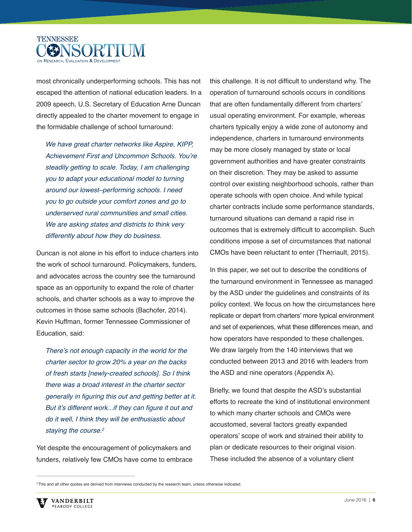

most chronically underperforming schools. This has not escaped the attention of national education leaders. In a 2009 speech, U.S. Secretary of Education Arne Duncan directly appealed to the charter movement to engage in the formidable challenge of school turnaround:

We have great charter networks like Aspire, KIPP, Achievement First and Uncommon Schools. You're steadily getting to scale. Today, I am challenging you to adapt your educational model to turning around our lowest–performing schools. I need you to go outside your comfort zones and go to underserved rural communities and small cities. We are asking states and districts to think very differently about how they do business.

Duncan is not alone in his effort to induce charters into the work of school turnaround. Policymakers, funders, and advocates across the country see the turnaround space as an opportunity to expand the role of charter schools, and charter schools as a way to improve the outcomes in those same schools (Bachofer, 2014). Kevin Huffman, former Tennessee Commissioner of Education, said:

There's not enough capacity in the world for the charter sector to grow 20% a year on the backs of fresh starts [newly-created schools]. So I think there was a broad interest in the charter sector generally in figuring this out and getting better at it. But it's different work...if they can figure it out and do it well, I think they will be enthusiastic about staying the course.<sup>2</sup>

Yet despite the encouragement of policymakers and funders, relatively few CMOs have come to embrace this challenge. It is not difficult to understand why. The operation of turnaround schools occurs in conditions that are often fundamentally different from charters' usual operating environment. For example, whereas charters typically enjoy a wide zone of autonomy and independence, charters in turnaround environments may be more closely managed by state or local government authorities and have greater constraints on their discretion. They may be asked to assume control over existing neighborhood schools, rather than operate schools with open choice. And while typical charter contracts include some performance standards, turnaround situations can demand a rapid rise in outcomes that is extremely difficult to accomplish. Such conditions impose a set of circumstances that national CMOs have been reluctant to enter (Therriault, 2015).

In this paper, we set out to describe the conditions of the turnaround environment in Tennessee as managed by the ASD under the guidelines and constraints of its policy context. We focus on how the circumstances here replicate or depart from charters' more typical environment and set of experiences, what these differences mean, and how operators have responded to these challenges. We draw largely from the 140 interviews that we conducted between 2013 and 2016 with leaders from the ASD and nine operators (Appendix A).

Briefly, we found that despite the ASD's substantial efforts to recreate the kind of institutional environment to which many charter schools and CMOs were accustomed, several factors greatly expanded operators' scope of work and strained their ability to plan or dedicate resources to their original vision. These included the absence of a voluntary client

 $\mathcal{L}_\text{max}$  and  $\mathcal{L}_\text{max}$  and  $\mathcal{L}_\text{max}$  and  $\mathcal{L}_\text{max}$ 

<sup>&</sup>lt;sup>2</sup> This and all other quotes are derived from interviews conducted by the research team, unless otherwise indicated.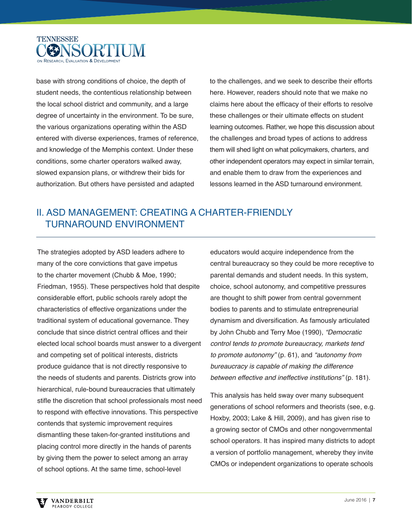

base with strong conditions of choice, the depth of student needs, the contentious relationship between the local school district and community, and a large degree of uncertainty in the environment. To be sure, the various organizations operating within the ASD entered with diverse experiences, frames of reference, and knowledge of the Memphis context. Under these conditions, some charter operators walked away, slowed expansion plans, or withdrew their bids for authorization. But others have persisted and adapted

to the challenges, and we seek to describe their efforts here. However, readers should note that we make no claims here about the efficacy of their efforts to resolve these challenges or their ultimate effects on student learning outcomes. Rather, we hope this discussion about the challenges and broad types of actions to address them will shed light on what policymakers, charters, and other independent operators may expect in similar terrain, and enable them to draw from the experiences and lessons learned in the ASD turnaround environment.

## II. ASD MANAGEMENT: CREATING A CHARTER-FRIENDLY TURNAROUND ENVIRONMENT

The strategies adopted by ASD leaders adhere to many of the core convictions that gave impetus to the charter movement (Chubb & Moe, 1990; Friedman, 1955). These perspectives hold that despite considerable effort, public schools rarely adopt the characteristics of effective organizations under the traditional system of educational governance. They conclude that since district central offices and their elected local school boards must answer to a divergent and competing set of political interests, districts produce guidance that is not directly responsive to the needs of students and parents. Districts grow into hierarchical, rule-bound bureaucracies that ultimately stifle the discretion that school professionals most need to respond with effective innovations. This perspective contends that systemic improvement requires dismantling these taken-for-granted institutions and placing control more directly in the hands of parents by giving them the power to select among an array of school options. At the same time, school-level

educators would acquire independence from the central bureaucracy so they could be more receptive to parental demands and student needs. In this system, choice, school autonomy, and competitive pressures are thought to shift power from central government bodies to parents and to stimulate entrepreneurial dynamism and diversification. As famously articulated by John Chubb and Terry Moe (1990), "Democratic control tends to promote bureaucracy, markets tend to promote autonomy" (p. 61), and "autonomy from bureaucracy is capable of making the difference between effective and ineffective institutions" (p. 181).

This analysis has held sway over many subsequent generations of school reformers and theorists (see, e.g. Hoxby, 2003; Lake & Hill, 2009), and has given rise to a growing sector of CMOs and other nongovernmental school operators. It has inspired many districts to adopt a version of portfolio management, whereby they invite CMOs or independent organizations to operate schools

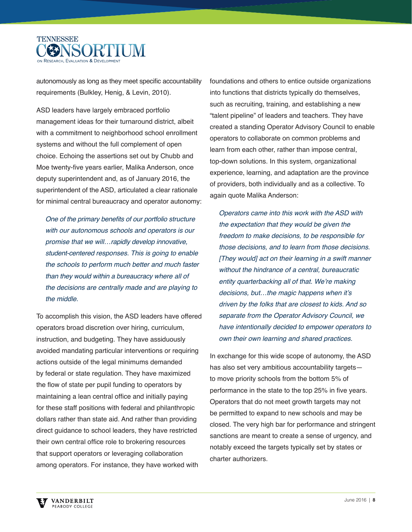

autonomously as long as they meet specific accountability requirements (Bulkley, Henig, & Levin, 2010).

ASD leaders have largely embraced portfolio management ideas for their turnaround district, albeit with a commitment to neighborhood school enrollment systems and without the full complement of open choice. Echoing the assertions set out by Chubb and Moe twenty-five years earlier, Malika Anderson, once deputy superintendent and, as of January 2016, the superintendent of the ASD, articulated a clear rationale for minimal central bureaucracy and operator autonomy:

One of the primary benefits of our portfolio structure with our autonomous schools and operators is our promise that we will…rapidly develop innovative, student-centered responses. This is going to enable the schools to perform much better and much faster than they would within a bureaucracy where all of the decisions are centrally made and are playing to the middle.

To accomplish this vision, the ASD leaders have offered operators broad discretion over hiring, curriculum, instruction, and budgeting. They have assiduously avoided mandating particular interventions or requiring actions outside of the legal minimums demanded by federal or state regulation. They have maximized the flow of state per pupil funding to operators by maintaining a lean central office and initially paying for these staff positions with federal and philanthropic dollars rather than state aid. And rather than providing direct guidance to school leaders, they have restricted their own central office role to brokering resources that support operators or leveraging collaboration among operators. For instance, they have worked with

foundations and others to entice outside organizations into functions that districts typically do themselves, such as recruiting, training, and establishing a new "talent pipeline" of leaders and teachers. They have created a standing Operator Advisory Council to enable operators to collaborate on common problems and learn from each other, rather than impose central, top-down solutions. In this system, organizational experience, learning, and adaptation are the province of providers, both individually and as a collective. To again quote Malika Anderson:

Operators came into this work with the ASD with the expectation that they would be given the freedom to make decisions, to be responsible for those decisions, and to learn from those decisions. [They would] act on their learning in a swift manner without the hindrance of a central, bureaucratic entity quarterbacking all of that. We're making decisions, but…the magic happens when it's driven by the folks that are closest to kids. And so separate from the Operator Advisory Council, we have intentionally decided to empower operators to own their own learning and shared practices.

In exchange for this wide scope of autonomy, the ASD has also set very ambitious accountability targets to move priority schools from the bottom 5% of performance in the state to the top 25% in five years. Operators that do not meet growth targets may not be permitted to expand to new schools and may be closed. The very high bar for performance and stringent sanctions are meant to create a sense of urgency, and notably exceed the targets typically set by states or charter authorizers.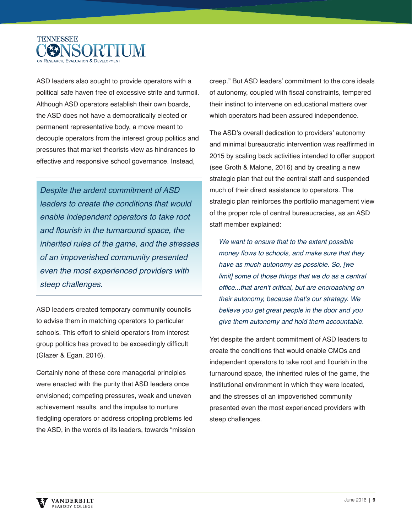

ASD leaders also sought to provide operators with a political safe haven free of excessive strife and turmoil. Although ASD operators establish their own boards, the ASD does not have a democratically elected or permanent representative body, a move meant to decouple operators from the interest group politics and pressures that market theorists view as hindrances to effective and responsive school governance. Instead,

Despite the ardent commitment of ASD leaders to create the conditions that would enable independent operators to take root and flourish in the turnaround space, the inherited rules of the game, and the stresses of an impoverished community presented even the most experienced providers with steep challenges.

ASD leaders created temporary community councils to advise them in matching operators to particular schools. This effort to shield operators from interest group politics has proved to be exceedingly difficult (Glazer & Egan, 2016).

Certainly none of these core managerial principles were enacted with the purity that ASD leaders once envisioned; competing pressures, weak and uneven achievement results, and the impulse to nurture fledgling operators or address crippling problems led the ASD, in the words of its leaders, towards "mission creep." But ASD leaders' commitment to the core ideals of autonomy, coupled with fiscal constraints, tempered their instinct to intervene on educational matters over which operators had been assured independence.

The ASD's overall dedication to providers' autonomy and minimal bureaucratic intervention was reaffirmed in 2015 by scaling back activities intended to offer support (see Groth & Malone, 2016) and by creating a new strategic plan that cut the central staff and suspended much of their direct assistance to operators. The strategic plan reinforces the portfolio management view of the proper role of central bureaucracies, as an ASD staff member explained:

We want to ensure that to the extent possible money flows to schools, and make sure that they have as much autonomy as possible. So, [we limit] some of those things that we do as a central office...that aren't critical, but are encroaching on their autonomy, because that's our strategy. We believe you get great people in the door and you give them autonomy and hold them accountable.

Yet despite the ardent commitment of ASD leaders to create the conditions that would enable CMOs and independent operators to take root and flourish in the turnaround space, the inherited rules of the game, the institutional environment in which they were located, and the stresses of an impoverished community presented even the most experienced providers with steep challenges.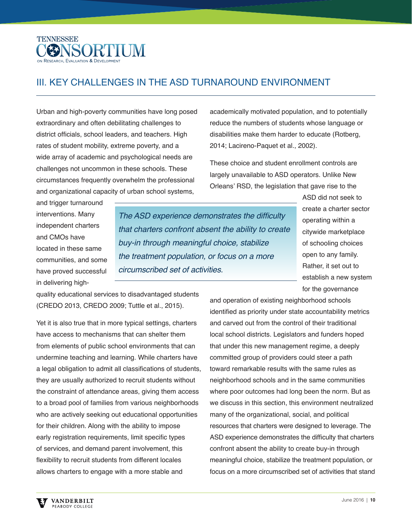

# III. KEY CHALLENGES IN THE ASD TURNAROUND ENVIRONMENT

Urban and high-poverty communities have long posed extraordinary and often debilitating challenges to district officials, school leaders, and teachers. High rates of student mobility, extreme poverty, and a wide array of academic and psychological needs are challenges not uncommon in these schools. These circumstances frequently overwhelm the professional and organizational capacity of urban school systems,

academically motivated population, and to potentially reduce the numbers of students whose language or disabilities make them harder to educate (Rotberg, 2014; Lacireno-Paquet et al., 2002).

These choice and student enrollment controls are largely unavailable to ASD operators. Unlike New Orleans' RSD, the legislation that gave rise to the

and trigger turnaround interventions. Many independent charters and CMOs have located in these same communities, and some have proved successful in delivering high-

The ASD experience demonstrates the difficulty that charters confront absent the ability to create buy-in through meaningful choice, stabilize the treatment population, or focus on a more circumscribed set of activities.

ASD did not seek to create a charter sector operating within a citywide marketplace of schooling choices open to any family. Rather, it set out to establish a new system for the governance

quality educational services to disadvantaged students (CREDO 2013, CREDO 2009; Tuttle et al., 2015).

Yet it is also true that in more typical settings, charters have access to mechanisms that can shelter them from elements of public school environments that can undermine teaching and learning. While charters have a legal obligation to admit all classifications of students, they are usually authorized to recruit students without the constraint of attendance areas, giving them access to a broad pool of families from various neighborhoods who are actively seeking out educational opportunities for their children. Along with the ability to impose early registration requirements, limit specific types of services, and demand parent involvement, this flexibility to recruit students from different locales allows charters to engage with a more stable and

and operation of existing neighborhood schools identified as priority under state accountability metrics and carved out from the control of their traditional local school districts. Legislators and funders hoped that under this new management regime, a deeply committed group of providers could steer a path toward remarkable results with the same rules as neighborhood schools and in the same communities where poor outcomes had long been the norm. But as we discuss in this section, this environment neutralized many of the organizational, social, and political resources that charters were designed to leverage. The ASD experience demonstrates the difficulty that charters confront absent the ability to create buy-in through meaningful choice, stabilize the treatment population, or focus on a more circumscribed set of activities that stand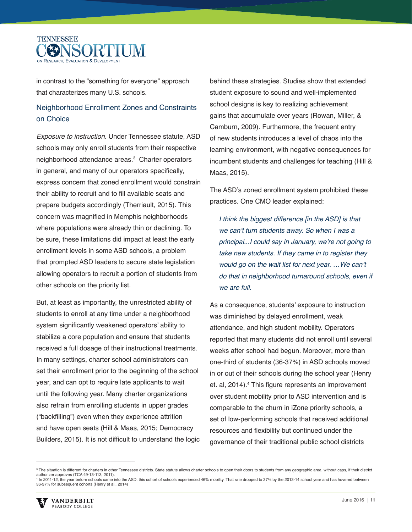

in contrast to the "something for everyone" approach that characterizes many U.S. schools.

### Neighborhood Enrollment Zones and Constraints on Choice

Exposure to instruction. Under Tennessee statute, ASD schools may only enroll students from their respective neighborhood attendance areas.<sup>3</sup> Charter operators in general, and many of our operators specifically. express concern that zoned enrollment would constrain their ability to recruit and to fill available seats and prepare budgets accordingly (Therriault, 2015). This concern was magnified in Memphis neighborhoods where populations were already thin or declining. To be sure, these limitations did impact at least the early enrollment levels in some ASD schools, a problem that prompted ASD leaders to secure state legislation allowing operators to recruit a portion of students from other schools on the priority list.

But, at least as importantly, the unrestricted ability of students to enroll at any time under a neighborhood system significantly weakened operators' ability to stabilize a core population and ensure that students received a full dosage of their instructional treatments. In many settings, charter school administrators can set their enrollment prior to the beginning of the school year, and can opt to require late applicants to wait until the following year. Many charter organizations also refrain from enrolling students in upper grades ("backfilling") even when they experience attrition and have open seats (Hill & Maas, 2015; Democracy Builders, 2015). It is not difficult to understand the logic

behind these strategies. Studies show that extended student exposure to sound and well-implemented school designs is key to realizing achievement gains that accumulate over years (Rowan, Miller, & Camburn, 2009). Furthermore, the frequent entry of new students introduces a level of chaos into the learning environment, with negative consequences for incumbent students and challenges for teaching (Hill & Maas, 2015).

The ASD's zoned enrollment system prohibited these practices. One CMO leader explained:

I think the biggest difference [in the ASD] is that we can't turn students away. So when I was a principal...I could say in January, we're not going to take new students. If they came in to register they would go on the wait list for next year. …We can't do that in neighborhood turnaround schools, even if we are full.

As a consequence, students' exposure to instruction was diminished by delayed enrollment, weak attendance, and high student mobility. Operators reported that many students did not enroll until several weeks after school had begun. Moreover, more than one-third of students (36-37%) in ASD schools moved in or out of their schools during the school year (Henry et. al, 2014).<sup>4</sup> This figure represents an improvement over student mobility prior to ASD intervention and is comparable to the churn in iZone priority schools, a set of low-performing schools that received additional resources and flexibility but continued under the governance of their traditional public school districts

 $^{\circ}$  The situation is different for charters in other Tennessee districts. State statute allows charter schools to open their doors to students from any geographic area, without caps, if their district authorizer approves (TCA 49-13-113, 2011). 4 In 2011-12, the year before schools came into the ASD, this cohort of schools experienced 46% mobility. That rate dropped to 37% by the 2013-14 school year and has hovered between 36-37% for subsequent cohorts (Henry et al., 2014)



\_\_\_\_\_\_\_\_\_\_\_\_\_\_\_\_\_\_\_\_\_\_\_\_\_\_\_\_\_\_\_\_\_\_\_\_\_\_\_\_\_\_\_\_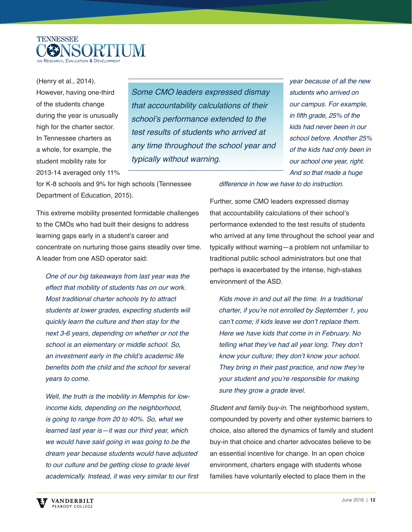

(Henry et al., 2014). However, having one-third of the students change during the year is unusually high for the charter sector. In Tennessee charters as a whole, for example, the student mobility rate for 2013-14 averaged only 11%

Some CMO leaders expressed dismay that accountability calculations of their school's performance extended to the test results of students who arrived at any time throughout the school year and typically without warning.

year because of all the new students who arrived on our campus. For example, in fifth grade, 25% of the kids had never been in our school before. Another 25% of the kids had only been in our school one year, right. And so that made a huge

for K-8 schools and 9% for high schools (Tennessee Department of Education, 2015).

This extreme mobility presented formidable challenges to the CMOs who had built their designs to address learning gaps early in a student's career and concentrate on nurturing those gains steadily over time. A leader from one ASD operator said:

One of our big takeaways from last year was the effect that mobility of students has on our work. Most traditional charter schools try to attract students at lower grades, expecting students will quickly learn the culture and then stay for the next 3-6 years, depending on whether or not the school is an elementary or middle school. So, an investment early in the child's academic life benefits both the child and the school for several years to come.

Well, the truth is the mobility in Memphis for lowincome kids, depending on the neighborhood, is going to range from 20 to 40%. So, what we learned last year is—it was our third year, which we would have said going in was going to be the dream year because students would have adjusted to our culture and be getting close to grade level academically. Instead, it was very similar to our first

#### difference in how we have to do instruction.

Further, some CMO leaders expressed dismay that accountability calculations of their school's performance extended to the test results of students who arrived at any time throughout the school year and typically without warning—a problem not unfamiliar to traditional public school administrators but one that perhaps is exacerbated by the intense, high-stakes environment of the ASD.

Kids move in and out all the time. In a traditional charter, if you're not enrolled by September 1, you can't come; if kids leave we don't replace them. Here we have kids that come in in February. No telling what they've had all year long. They don't know your culture; they don't know your school. They bring in their past practice, and now they're your student and you're responsible for making sure they grow a grade level.

Student and family buy-in. The neighborhood system, compounded by poverty and other systemic barriers to choice, also altered the dynamics of family and student buy-in that choice and charter advocates believe to be an essential incentive for change. In an open choice environment, charters engage with students whose families have voluntarily elected to place them in the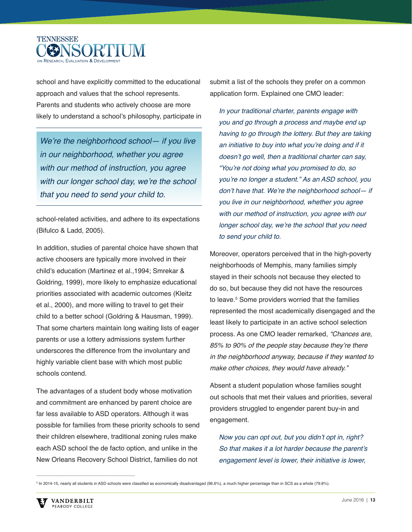

school and have explicitly committed to the educational approach and values that the school represents. Parents and students who actively choose are more likely to understand a school's philosophy, participate in

We're the neighborhood school- if you live in our neighborhood, whether you agree with our method of instruction, you agree with our longer school day, we're the school that you need to send your child to.

school-related activities, and adhere to its expectations (Bifulco & Ladd, 2005).

In addition, studies of parental choice have shown that active choosers are typically more involved in their child's education (Martinez et al.,1994; Smrekar & Goldring, 1999), more likely to emphasize educational priorities associated with academic outcomes (Kleitz et al., 2000), and more willing to travel to get their child to a better school (Goldring & Hausman, 1999). That some charters maintain long waiting lists of eager parents or use a lottery admissions system further underscores the difference from the involuntary and highly variable client base with which most public schools contend.

The advantages of a student body whose motivation and commitment are enhanced by parent choice are far less available to ASD operators. Although it was possible for families from these priority schools to send their children elsewhere, traditional zoning rules make each ASD school the de facto option, and unlike in the New Orleans Recovery School District, families do not

submit a list of the schools they prefer on a common application form. Explained one CMO leader:

In your traditional charter, parents engage with you and go through a process and maybe end up having to go through the lottery. But they are taking an initiative to buy into what you're doing and if it doesn't go well, then a traditional charter can say, "You're not doing what you promised to do, so you're no longer a student." As an ASD school, you don't have that. We're the neighborhood school— if you live in our neighborhood, whether you agree with our method of instruction, you agree with our longer school day, we're the school that you need to send your child to.

Moreover, operators perceived that in the high-poverty neighborhoods of Memphis, many families simply stayed in their schools not because they elected to do so, but because they did not have the resources to leave.5 Some providers worried that the families represented the most academically disengaged and the least likely to participate in an active school selection process. As one CMO leader remarked, "Chances are, 85% to 90% of the people stay because they're there in the neighborhood anyway, because if they wanted to make other choices, they would have already."

Absent a student population whose families sought out schools that met their values and priorities, several providers struggled to engender parent buy-in and engagement.

Now you can opt out, but you didn't opt in, right? So that makes it a lot harder because the parent's engagement level is lower, their initiative is lower,

 $\mathcal{L}_\text{max}$  and  $\mathcal{L}_\text{max}$  and  $\mathcal{L}_\text{max}$  and  $\mathcal{L}_\text{max}$ 

 $^5$  In 2014-15, nearly all students in ASD schools were classified as economically disadvantaged (96.6%), a much higher percentage than in SCS as a whole (79.8%).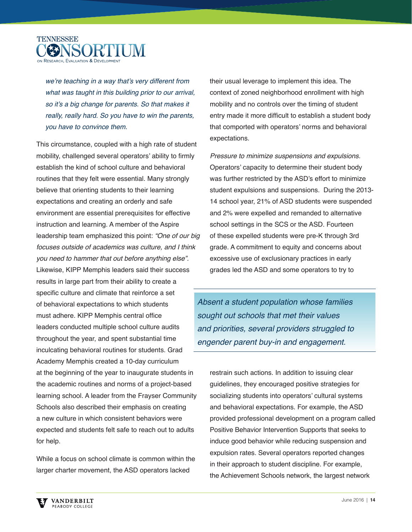

we're teaching in a way that's very different from what was taught in this building prior to our arrival, so it's a big change for parents. So that makes it really, really hard. So you have to win the parents, you have to convince them.

This circumstance, coupled with a high rate of student mobility, challenged several operators' ability to firmly establish the kind of school culture and behavioral routines that they felt were essential. Many strongly believe that orienting students to their learning expectations and creating an orderly and safe environment are essential prerequisites for effective instruction and learning. A member of the Aspire leadership team emphasized this point: "One of our big focuses outside of academics was culture, and I think you need to hammer that out before anything else". Likewise, KIPP Memphis leaders said their success results in large part from their ability to create a specific culture and climate that reinforce a set of behavioral expectations to which students must adhere. KIPP Memphis central office leaders conducted multiple school culture audits throughout the year, and spent substantial time inculcating behavioral routines for students. Grad Academy Memphis created a 10-day curriculum at the beginning of the year to inaugurate students in the academic routines and norms of a project-based learning school. A leader from the Frayser Community Schools also described their emphasis on creating a new culture in which consistent behaviors were expected and students felt safe to reach out to adults for help.

While a focus on school climate is common within the larger charter movement, the ASD operators lacked

their usual leverage to implement this idea. The context of zoned neighborhood enrollment with high mobility and no controls over the timing of student entry made it more difficult to establish a student body that comported with operators' norms and behavioral expectations.

Pressure to minimize suspensions and expulsions. Operators' capacity to determine their student body was further restricted by the ASD's effort to minimize student expulsions and suspensions. During the 2013- 14 school year, 21% of ASD students were suspended and 2% were expelled and remanded to alternative school settings in the SCS or the ASD. Fourteen of these expelled students were pre-K through 3rd grade. A commitment to equity and concerns about excessive use of exclusionary practices in early grades led the ASD and some operators to try to

Absent a student population whose families sought out schools that met their values and priorities, several providers struggled to engender parent buy-in and engagement.

restrain such actions. In addition to issuing clear guidelines, they encouraged positive strategies for socializing students into operators' cultural systems and behavioral expectations. For example, the ASD provided professional development on a program called Positive Behavior Intervention Supports that seeks to induce good behavior while reducing suspension and expulsion rates. Several operators reported changes in their approach to student discipline. For example, the Achievement Schools network, the largest network

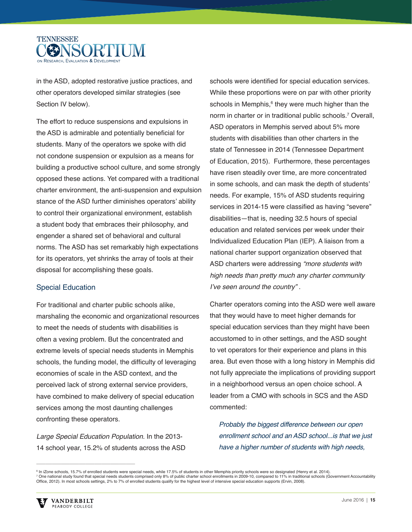

in the ASD, adopted restorative justice practices, and other operators developed similar strategies (see Section IV below).

The effort to reduce suspensions and expulsions in the ASD is admirable and potentially beneficial for students. Many of the operators we spoke with did not condone suspension or expulsion as a means for building a productive school culture, and some strongly opposed these actions. Yet compared with a traditional charter environment, the anti-suspension and expulsion stance of the ASD further diminishes operators' ability to control their organizational environment, establish a student body that embraces their philosophy, and engender a shared set of behavioral and cultural norms. The ASD has set remarkably high expectations for its operators, yet shrinks the array of tools at their disposal for accomplishing these goals.

#### Special Education

For traditional and charter public schools alike, marshaling the economic and organizational resources to meet the needs of students with disabilities is often a vexing problem. But the concentrated and extreme levels of special needs students in Memphis schools, the funding model, the difficulty of leveraging economies of scale in the ASD context, and the perceived lack of strong external service providers, have combined to make delivery of special education services among the most daunting challenges confronting these operators.

Large Special Education Population. In the 2013- 14 school year, 15.2% of students across the ASD

schools were identified for special education services. While these proportions were on par with other priority schools in Memphis,<sup>6</sup> they were much higher than the norm in charter or in traditional public schools.<sup>7</sup> Overall, ASD operators in Memphis served about 5% more students with disabilities than other charters in the state of Tennessee in 2014 (Tennessee Department of Education, 2015). Furthermore, these percentages have risen steadily over time, are more concentrated in some schools, and can mask the depth of students' needs. For example, 15% of ASD students requiring services in 2014-15 were classified as having "severe" disabilities—that is, needing 32.5 hours of special education and related services per week under their Individualized Education Plan (IEP). A liaison from a national charter support organization observed that ASD charters were addressing "more students with high needs than pretty much any charter community I've seen around the country" .

Charter operators coming into the ASD were well aware that they would have to meet higher demands for special education services than they might have been accustomed to in other settings, and the ASD sought to vet operators for their experience and plans in this area. But even those with a long history in Memphis did not fully appreciate the implications of providing support in a neighborhood versus an open choice school. A leader from a CMO with schools in SCS and the ASD commented:

Probably the biggest difference between our open enrollment school and an ASD school...is that we just have a higher number of students with high needs,

 $\mathcal{L}_\text{max}$  and  $\mathcal{L}_\text{max}$  and  $\mathcal{L}_\text{max}$  and  $\mathcal{L}_\text{max}$ 

<sup>&</sup>lt;sup>6</sup> In iZone schools, 15.7% of enrolled students were special needs, while 17.5% of students in other Memphis priority schools were so designated (Henry et al. 2014). <sup>s</sup> In iZone schools, 15.7% of enrolled students were special needs, while 17.5% of students in other Memphis priority schools were so designated (Henry et al. 2014).<br><sup>7</sup> One national study found that special needs student Office, 2012). In most schools settings, 2% to 7% of enrolled students qualify for the highest level of intensive special education supports (Ervin, 2008).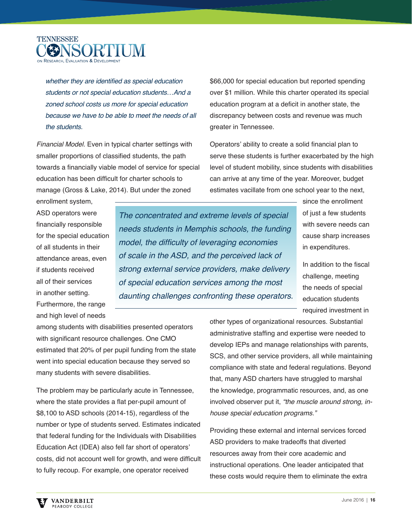

whether they are identified as special education students or not special education students…And a zoned school costs us more for special education because we have to be able to meet the needs of all the students.

Financial Model. Even in typical charter settings with smaller proportions of classified students, the path towards a financially viable model of service for special education has been difficult for charter schools to manage (Gross & Lake, 2014). But under the zoned

\$66,000 for special education but reported spending over \$1 million. While this charter operated its special education program at a deficit in another state, the discrepancy between costs and revenue was much greater in Tennessee.

Operators' ability to create a solid financial plan to serve these students is further exacerbated by the high level of student mobility, since students with disabilities can arrive at any time of the year. Moreover, budget estimates vacillate from one school year to the next,

enrollment system, ASD operators were financially responsible for the special education of all students in their attendance areas, even if students received all of their services in another setting. Furthermore, the range and high level of needs

The concentrated and extreme levels of special needs students in Memphis schools, the funding model, the difficulty of leveraging economies of scale in the ASD, and the perceived lack of strong external service providers, make delivery of special education services among the most daunting challenges confronting these operators.

since the enrollment of just a few students with severe needs can cause sharp increases in expenditures.

In addition to the fiscal challenge, meeting the needs of special education students required investment in

among students with disabilities presented operators with significant resource challenges. One CMO estimated that 20% of per pupil funding from the state went into special education because they served so many students with severe disabilities.

The problem may be particularly acute in Tennessee, where the state provides a flat per-pupil amount of \$8,100 to ASD schools (2014-15), regardless of the number or type of students served. Estimates indicated that federal funding for the Individuals with Disabilities Education Act (IDEA) also fell far short of operators' costs, did not account well for growth, and were difficult to fully recoup. For example, one operator received

other types of organizational resources. Substantial administrative staffing and expertise were needed to develop IEPs and manage relationships with parents, SCS, and other service providers, all while maintaining compliance with state and federal regulations. Beyond that, many ASD charters have struggled to marshal the knowledge, programmatic resources, and, as one involved observer put it, "the muscle around strong, inhouse special education programs."

Providing these external and internal services forced ASD providers to make tradeoffs that diverted resources away from their core academic and instructional operations. One leader anticipated that these costs would require them to eliminate the extra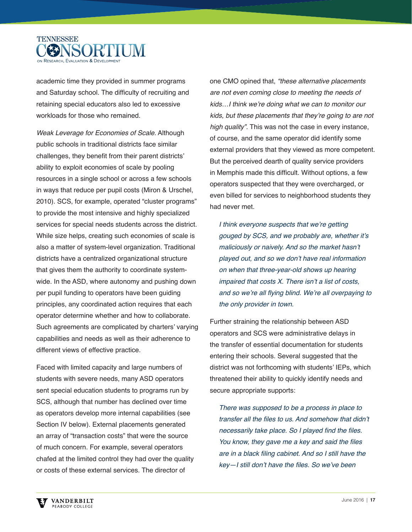

academic time they provided in summer programs and Saturday school. The difficulty of recruiting and retaining special educators also led to excessive workloads for those who remained.

Weak Leverage for Economies of Scale. Although public schools in traditional districts face similar challenges, they benefit from their parent districts' ability to exploit economies of scale by pooling resources in a single school or across a few schools in ways that reduce per pupil costs (Miron & Urschel, 2010). SCS, for example, operated "cluster programs" to provide the most intensive and highly specialized services for special needs students across the district. While size helps, creating such economies of scale is also a matter of system-level organization. Traditional districts have a centralized organizational structure that gives them the authority to coordinate systemwide. In the ASD, where autonomy and pushing down per pupil funding to operators have been guiding principles, any coordinated action requires that each operator determine whether and how to collaborate. Such agreements are complicated by charters' varying capabilities and needs as well as their adherence to different views of effective practice.

Faced with limited capacity and large numbers of students with severe needs, many ASD operators sent special education students to programs run by SCS, although that number has declined over time as operators develop more internal capabilities (see Section IV below). External placements generated an array of "transaction costs" that were the source of much concern. For example, several operators chafed at the limited control they had over the quality or costs of these external services. The director of

one CMO opined that, "these alternative placements are not even coming close to meeting the needs of kids…I think we're doing what we can to monitor our kids, but these placements that they're going to are not high quality". This was not the case in every instance, of course, and the same operator did identify some external providers that they viewed as more competent. But the perceived dearth of quality service providers in Memphis made this difficult. Without options, a few operators suspected that they were overcharged, or even billed for services to neighborhood students they had never met.

I think everyone suspects that we're getting gouged by SCS, and we probably are, whether it's maliciously or naively. And so the market hasn't played out, and so we don't have real information on when that three-year-old shows up hearing impaired that costs X. There isn't a list of costs, and so we're all flying blind. We're all overpaying to the only provider in town.

Further straining the relationship between ASD operators and SCS were administrative delays in the transfer of essential documentation for students entering their schools. Several suggested that the district was not forthcoming with students' IEPs, which threatened their ability to quickly identify needs and secure appropriate supports:

There was supposed to be a process in place to transfer all the files to us. And somehow that didn't necessarily take place. So I played find the files. You know, they gave me a key and said the files are in a black filing cabinet. And so I still have the key-I still don't have the files. So we've been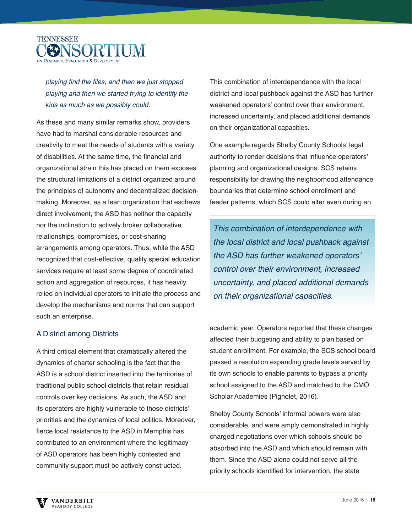

playing find the files, and then we just stopped playing and then we started trying to identify the kids as much as we possibly could.

As these and many similar remarks show, providers have had to marshal considerable resources and creativity to meet the needs of students with a variety of disabilities. At the same time, the financial and organizational strain this has placed on them exposes the structural limitations of a district organized around the principles of autonomy and decentralized decisionmaking. Moreover, as a lean organization that eschews direct involvement, the ASD has neither the capacity nor the inclination to actively broker collaborative relationships, compromises, or cost-sharing arrangements among operators. Thus, while the ASD recognized that cost-effective, quality special education services require at least some degree of coordinated action and aggregation of resources, it has heavily relied on individual operators to initiate the process and develop the mechanisms and norms that can support such an enterprise.

#### A District among Districts

A third critical element that dramatically altered the dynamics of charter schooling is the fact that the ASD is a school district inserted into the territories of traditional public school districts that retain residual controls over key decisions. As such, the ASD and its operators are highly vulnerable to those districts' priorities and the dynamics of local politics. Moreover, fierce local resistance to the ASD in Memphis has contributed to an environment where the legitimacy of ASD operators has been highly contested and community support must be actively constructed.

This combination of interdependence with the local district and local pushback against the ASD has further weakened operators' control over their environment, increased uncertainty, and placed additional demands on their organizational capacities.

One example regards Shelby County Schools' legal authority to render decisions that influence operators' planning and organizational designs. SCS retains responsibility for drawing the neighborhood attendance boundaries that determine school enrollment and feeder patterns, which SCS could alter even during an

This combination of interdependence with the local district and local pushback against the ASD has further weakened operators' control over their environment, increased uncertainty, and placed additional demands on their organizational capacities.

academic year. Operators reported that these changes affected their budgeting and ability to plan based on student enrollment. For example, the SCS school board passed a resolution expanding grade levels served by its own schools to enable parents to bypass a priority school assigned to the ASD and matched to the CMO Scholar Academies (Pignolet, 2016).

Shelby County Schools' informal powers were also considerable, and were amply demonstrated in highly charged negotiations over which schools should be absorbed into the ASD and which should remain with them. Since the ASD alone could not serve all the priority schools identified for intervention, the state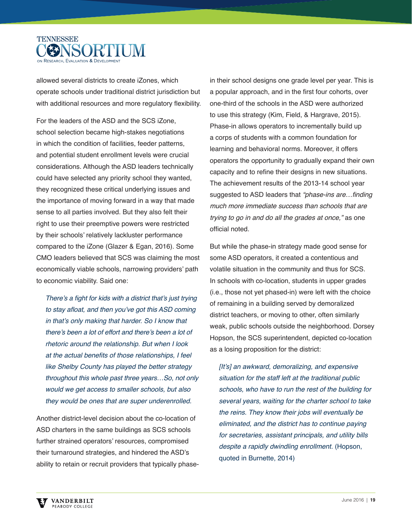

allowed several districts to create iZones, which operate schools under traditional district jurisdiction but with additional resources and more regulatory flexibility.

For the leaders of the ASD and the SCS iZone, school selection became high-stakes negotiations in which the condition of facilities, feeder patterns, and potential student enrollment levels were crucial considerations. Although the ASD leaders technically could have selected any priority school they wanted, they recognized these critical underlying issues and the importance of moving forward in a way that made sense to all parties involved. But they also felt their right to use their preemptive powers were restricted by their schools' relatively lackluster performance compared to the iZone (Glazer & Egan, 2016). Some CMO leaders believed that SCS was claiming the most economically viable schools, narrowing providers' path to economic viability. Said one:

There's a fight for kids with a district that's just trying to stay afloat, and then you've got this ASD coming in that's only making that harder. So I know that there's been a lot of effort and there's been a lot of rhetoric around the relationship. But when I look at the actual benefits of those relationships, I feel like Shelby County has played the better strategy throughout this whole past three years…So, not only would we get access to smaller schools, but also they would be ones that are super underenrolled.

Another district-level decision about the co-location of ASD charters in the same buildings as SCS schools further strained operators' resources, compromised their turnaround strategies, and hindered the ASD's ability to retain or recruit providers that typically phasein their school designs one grade level per year. This is a popular approach, and in the first four cohorts, over one-third of the schools in the ASD were authorized to use this strategy (Kim, Field, & Hargrave, 2015). Phase-in allows operators to incrementally build up a corps of students with a common foundation for learning and behavioral norms. Moreover, it offers operators the opportunity to gradually expand their own capacity and to refine their designs in new situations. The achievement results of the 2013-14 school year suggested to ASD leaders that "*phase-ins are...finding* much more immediate success than schools that are trying to go in and do all the grades at once," as one official noted.

But while the phase-in strategy made good sense for some ASD operators, it created a contentious and volatile situation in the community and thus for SCS. In schools with co-location, students in upper grades (i.e., those not yet phased-in) were left with the choice of remaining in a building served by demoralized district teachers, or moving to other, often similarly weak, public schools outside the neighborhood. Dorsey Hopson, the SCS superintendent, depicted co-location as a losing proposition for the district:

[It's] an awkward, demoralizing, and expensive situation for the staff left at the traditional public schools, who have to run the rest of the building for several years, waiting for the charter school to take the reins. They know their jobs will eventually be eliminated, and the district has to continue paying for secretaries, assistant principals, and utility bills despite a rapidly dwindling enrollment. (Hopson, quoted in Burnette, 2014)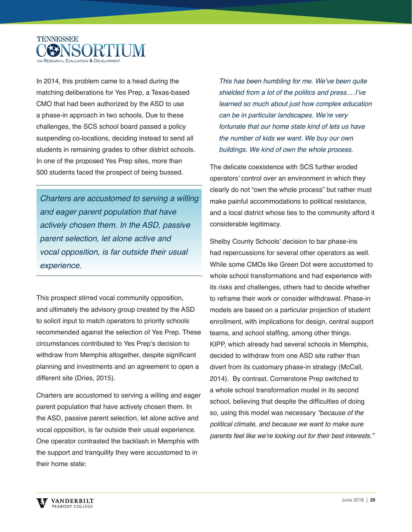

In 2014, this problem came to a head during the matching deliberations for Yes Prep, a Texas-based CMO that had been authorized by the ASD to use a phase-in approach in two schools. Due to these challenges, the SCS school board passed a policy suspending co-locations, deciding instead to send all students in remaining grades to other district schools. In one of the proposed Yes Prep sites, more than 500 students faced the prospect of being bussed.

Charters are accustomed to serving a willing and eager parent population that have actively chosen them. In the ASD, passive parent selection, let alone active and vocal opposition, is far outside their usual experience.

This prospect stirred vocal community opposition, and ultimately the advisory group created by the ASD to solicit input to match operators to priority schools recommended against the selection of Yes Prep. These circumstances contributed to Yes Prep's decision to withdraw from Memphis altogether, despite significant planning and investments and an agreement to open a different site (Dries, 2015).

Charters are accustomed to serving a willing and eager parent population that have actively chosen them. In the ASD, passive parent selection, let alone active and vocal opposition, is far outside their usual experience. One operator contrasted the backlash in Memphis with the support and tranquility they were accustomed to in their home state:

This has been humbling for me. We've been quite shielded from a lot of the politics and press.…I've learned so much about just how complex education can be in particular landscapes. We're very fortunate that our home state kind of lets us have the number of kids we want. We buy our own buildings. We kind of own the whole process.

The delicate coexistence with SCS further eroded operators' control over an environment in which they clearly do not "own the whole process" but rather must make painful accommodations to political resistance, and a local district whose ties to the community afford it considerable legitimacy.

Shelby County Schools' decision to bar phase-ins had repercussions for several other operators as well. While some CMOs like Green Dot were accustomed to whole school transformations and had experience with its risks and challenges, others had to decide whether to reframe their work or consider withdrawal. Phase-in models are based on a particular projection of student enrollment, with implications for design, central support teams, and school staffing, among other things. KIPP, which already had several schools in Memphis, decided to withdraw from one ASD site rather than divert from its customary phase-in strategy (McCall, 2014). By contrast, Cornerstone Prep switched to a whole school transformation model in its second school, believing that despite the difficulties of doing so, using this model was necessary "because of the political climate, and because we want to make sure parents feel like we're looking out for their best interests."

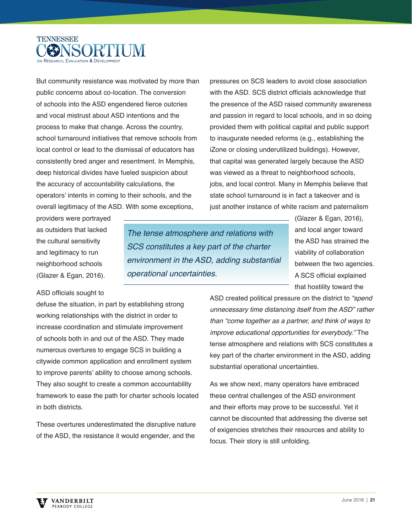

But community resistance was motivated by more than public concerns about co-location. The conversion of schools into the ASD engendered fierce outcries and vocal mistrust about ASD intentions and the process to make that change. Across the country, school turnaround initiatives that remove schools from local control or lead to the dismissal of educators has consistently bred anger and resentment. In Memphis, deep historical divides have fueled suspicion about the accuracy of accountability calculations, the operators' intents in coming to their schools, and the overall legitimacy of the ASD. With some exceptions,

providers were portrayed as outsiders that lacked the cultural sensitivity and legitimacy to run neighborhood schools (Glazer & Egan, 2016).

The tense atmosphere and relations with SCS constitutes a key part of the charter environment in the ASD, adding substantial operational uncertainties.

pressures on SCS leaders to avoid close association with the ASD. SCS district officials acknowledge that the presence of the ASD raised community awareness and passion in regard to local schools, and in so doing provided them with political capital and public support to inaugurate needed reforms (e.g., establishing the iZone or closing underutilized buildings). However, that capital was generated largely because the ASD was viewed as a threat to neighborhood schools, jobs, and local control. Many in Memphis believe that state school turnaround is in fact a takeover and is just another instance of white racism and paternalism

> (Glazer & Egan, 2016), and local anger toward the ASD has strained the viability of collaboration between the two agencies. A SCS official explained that hostility toward the

#### ASD officials sought to

defuse the situation, in part by establishing strong working relationships with the district in order to increase coordination and stimulate improvement of schools both in and out of the ASD. They made numerous overtures to engage SCS in building a citywide common application and enrollment system to improve parents' ability to choose among schools. They also sought to create a common accountability framework to ease the path for charter schools located in both districts.

These overtures underestimated the disruptive nature of the ASD, the resistance it would engender, and the

ASD created political pressure on the district to "spend" unnecessary time distancing itself from the ASD" rather than "come together as a partner, and think of ways to improve educational opportunities for everybody." The tense atmosphere and relations with SCS constitutes a key part of the charter environment in the ASD, adding substantial operational uncertainties.

As we show next, many operators have embraced these central challenges of the ASD environment and their efforts may prove to be successful. Yet it cannot be discounted that addressing the diverse set of exigencies stretches their resources and ability to focus. Their story is still unfolding.

VANDERBILT PEARODY COLLEGE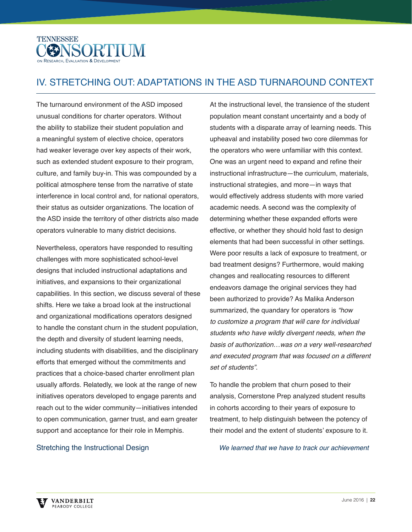

# IV. STRETCHING OUT: ADAPTATIONS IN THE ASD TURNAROUND CONTEXT

The turnaround environment of the ASD imposed unusual conditions for charter operators. Without the ability to stabilize their student population and a meaningful system of elective choice, operators had weaker leverage over key aspects of their work, such as extended student exposure to their program, culture, and family buy-in. This was compounded by a political atmosphere tense from the narrative of state interference in local control and, for national operators, their status as outsider organizations. The location of the ASD inside the territory of other districts also made operators vulnerable to many district decisions.

Nevertheless, operators have responded to resulting challenges with more sophisticated school-level designs that included instructional adaptations and initiatives, and expansions to their organizational capabilities. In this section, we discuss several of these shifts. Here we take a broad look at the instructional and organizational modifications operators designed to handle the constant churn in the student population, the depth and diversity of student learning needs, including students with disabilities, and the disciplinary efforts that emerged without the commitments and practices that a choice-based charter enrollment plan usually affords. Relatedly, we look at the range of new initiatives operators developed to engage parents and reach out to the wider community—initiatives intended to open communication, garner trust, and earn greater support and acceptance for their role in Memphis.

Stretching the Instructional Design

At the instructional level, the transience of the student population meant constant uncertainty and a body of students with a disparate array of learning needs. This upheaval and instability posed two core dilemmas for the operators who were unfamiliar with this context. One was an urgent need to expand and refine their instructional infrastructure—the curriculum, materials, instructional strategies, and more—in ways that would effectively address students with more varied academic needs. A second was the complexity of determining whether these expanded efforts were effective, or whether they should hold fast to design elements that had been successful in other settings. Were poor results a lack of exposure to treatment, or bad treatment designs? Furthermore, would making changes and reallocating resources to different endeavors damage the original services they had been authorized to provide? As Malika Anderson summarized, the quandary for operators is "how to customize a program that will care for individual students who have wildly divergent needs, when the basis of authorization…was on a very well-researched and executed program that was focused on a different set of students".

To handle the problem that churn posed to their analysis, Cornerstone Prep analyzed student results in cohorts according to their years of exposure to treatment, to help distinguish between the potency of their model and the extent of students' exposure to it.

We learned that we have to track our achievement

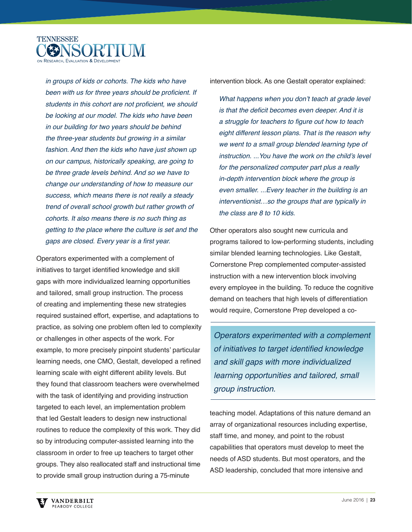

in groups of kids or cohorts. The kids who have been with us for three years should be proficient. If students in this cohort are not proficient, we should be looking at our model. The kids who have been in our building for two years should be behind the three-year students but growing in a similar fashion. And then the kids who have just shown up on our campus, historically speaking, are going to be three grade levels behind. And so we have to change our understanding of how to measure our success, which means there is not really a steady trend of overall school growth but rather growth of cohorts. It also means there is no such thing as getting to the place where the culture is set and the gaps are closed. Every year is a first year.

Operators experimented with a complement of initiatives to target identified knowledge and skill gaps with more individualized learning opportunities and tailored, small group instruction. The process of creating and implementing these new strategies required sustained effort, expertise, and adaptations to practice, as solving one problem often led to complexity or challenges in other aspects of the work. For example, to more precisely pinpoint students' particular learning needs, one CMO, Gestalt, developed a refined learning scale with eight different ability levels. But they found that classroom teachers were overwhelmed with the task of identifying and providing instruction targeted to each level, an implementation problem that led Gestalt leaders to design new instructional routines to reduce the complexity of this work. They did so by introducing computer-assisted learning into the classroom in order to free up teachers to target other groups. They also reallocated staff and instructional time to provide small group instruction during a 75-minute

intervention block. As one Gestalt operator explained:

What happens when you don't teach at grade level is that the deficit becomes even deeper. And it is a struggle for teachers to figure out how to teach eight different lesson plans. That is the reason why we went to a small group blended learning type of instruction. ...You have the work on the child's level for the personalized computer part plus a really in-depth intervention block where the group is even smaller. ...Every teacher in the building is an interventionist…so the groups that are typically in the class are 8 to 10 kids.

Other operators also sought new curricula and programs tailored to low-performing students, including similar blended learning technologies. Like Gestalt, Cornerstone Prep complemented computer-assisted instruction with a new intervention block involving every employee in the building. To reduce the cognitive demand on teachers that high levels of differentiation would require, Cornerstone Prep developed a co-

Operators experimented with a complement of initiatives to target identified knowledge and skill gaps with more individualized learning opportunities and tailored, small group instruction.

teaching model. Adaptations of this nature demand an array of organizational resources including expertise, staff time, and money, and point to the robust capabilities that operators must develop to meet the needs of ASD students. But most operators, and the ASD leadership, concluded that more intensive and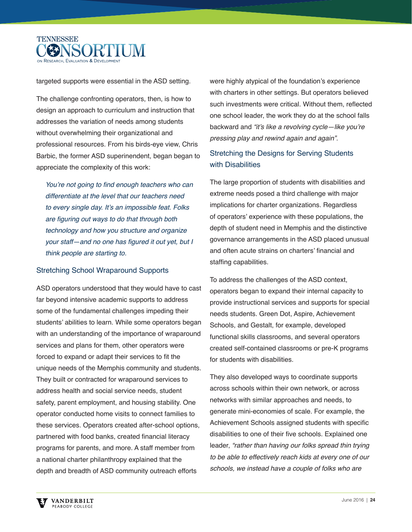

targeted supports were essential in the ASD setting.

The challenge confronting operators, then, is how to design an approach to curriculum and instruction that addresses the variation of needs among students without overwhelming their organizational and professional resources. From his birds-eye view, Chris Barbic, the former ASD superinendent, began began to appreciate the complexity of this work:

You're not going to find enough teachers who can differentiate at the level that our teachers need to every single day. It's an impossible feat. Folks are figuring out ways to do that through both technology and how you structure and organize your staff-and no one has figured it out yet, but I think people are starting to.

#### Stretching School Wraparound Supports

ASD operators understood that they would have to cast far beyond intensive academic supports to address some of the fundamental challenges impeding their students' abilities to learn. While some operators began with an understanding of the importance of wraparound services and plans for them, other operators were forced to expand or adapt their services to fit the unique needs of the Memphis community and students. They built or contracted for wraparound services to address health and social service needs, student safety, parent employment, and housing stability. One operator conducted home visits to connect families to these services. Operators created after-school options, partnered with food banks, created financial literacy programs for parents, and more. A staff member from a national charter philanthropy explained that the depth and breadth of ASD community outreach efforts

were highly atypical of the foundation's experience with charters in other settings. But operators believed such investments were critical. Without them, reflected one school leader, the work they do at the school falls backward and "it's like a revolving cycle—like you're pressing play and rewind again and again".

### Stretching the Designs for Serving Students with Disabilities

The large proportion of students with disabilities and extreme needs posed a third challenge with major implications for charter organizations. Regardless of operators' experience with these populations, the depth of student need in Memphis and the distinctive governance arrangements in the ASD placed unusual and often acute strains on charters' financial and staffing capabilities.

To address the challenges of the ASD context, operators began to expand their internal capacity to provide instructional services and supports for special needs students. Green Dot, Aspire, Achievement Schools, and Gestalt, for example, developed functional skills classrooms, and several operators created self-contained classrooms or pre-K programs for students with disabilities.

They also developed ways to coordinate supports across schools within their own network, or across networks with similar approaches and needs, to generate mini-economies of scale. For example, the Achievement Schools assigned students with specific disabilities to one of their five schools. Explained one leader, "rather than having our folks spread thin trying to be able to effectively reach kids at every one of our schools, we instead have a couple of folks who are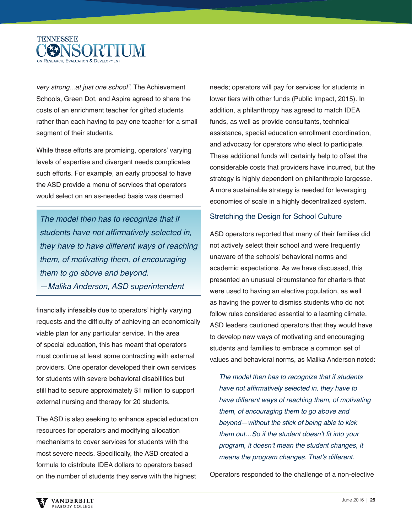

very strong...at just one school". The Achievement Schools, Green Dot, and Aspire agreed to share the costs of an enrichment teacher for gifted students rather than each having to pay one teacher for a small segment of their students.

While these efforts are promising, operators' varying levels of expertise and divergent needs complicates such efforts. For example, an early proposal to have the ASD provide a menu of services that operators would select on an as-needed basis was deemed

The model then has to recognize that if students have not affirmatively selected in, they have to have different ways of reaching them, of motivating them, of encouraging them to go above and beyond. —Malika Anderson, ASD superintendent

financially infeasible due to operators' highly varying requests and the difficulty of achieving an economically viable plan for any particular service. In the area of special education, this has meant that operators must continue at least some contracting with external providers. One operator developed their own services for students with severe behavioral disabilities but still had to secure approximately \$1 million to support external nursing and therapy for 20 students.

The ASD is also seeking to enhance special education resources for operators and modifying allocation mechanisms to cover services for students with the most severe needs. Specifically, the ASD created a formula to distribute IDEA dollars to operators based on the number of students they serve with the highest

needs; operators will pay for services for students in lower tiers with other funds (Public Impact, 2015). In addition, a philanthropy has agreed to match IDEA funds, as well as provide consultants, technical assistance, special education enrollment coordination, and advocacy for operators who elect to participate. These additional funds will certainly help to offset the considerable costs that providers have incurred, but the strategy is highly dependent on philanthropic largesse. A more sustainable strategy is needed for leveraging economies of scale in a highly decentralized system.

#### Stretching the Design for School Culture

ASD operators reported that many of their families did not actively select their school and were frequently unaware of the schools' behavioral norms and academic expectations. As we have discussed, this presented an unusual circumstance for charters that were used to having an elective population, as well as having the power to dismiss students who do not follow rules considered essential to a learning climate. ASD leaders cautioned operators that they would have to develop new ways of motivating and encouraging students and families to embrace a common set of values and behavioral norms, as Malika Anderson noted:

The model then has to recognize that if students have not affirmatively selected in, they have to have different ways of reaching them, of motivating them, of encouraging them to go above and beyond—without the stick of being able to kick them out...So if the student doesn't fit into your program, it doesn't mean the student changes, it means the program changes. That's different.

Operators responded to the challenge of a non-elective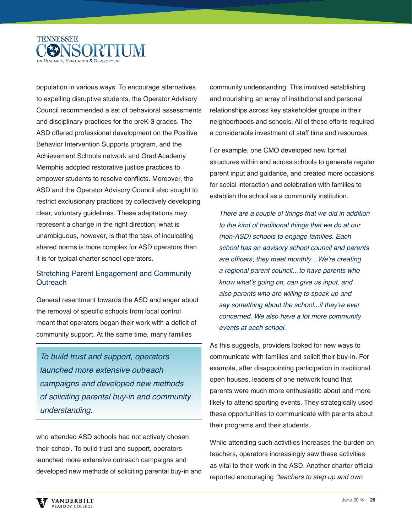

population in various ways. To encourage alternatives to expelling disruptive students, the Operator Advisory Council recommended a set of behavioral assessments and disciplinary practices for the preK-3 grades. The ASD offered professional development on the Positive Behavior Intervention Supports program, and the Achievement Schools network and Grad Academy Memphis adopted restorative justice practices to empower students to resolve conflicts. Moreover, the ASD and the Operator Advisory Council also sought to restrict exclusionary practices by collectively developing clear, voluntary guidelines. These adaptations may represent a change in the right direction; what is unambiguous, however, is that the task of inculcating shared norms is more complex for ASD operators than it is for typical charter school operators.

### Stretching Parent Engagement and Community **Outreach**

General resentment towards the ASD and anger about the removal of specific schools from local control meant that operators began their work with a deficit of community support. At the same time, many families

To build trust and support, operators launched more extensive outreach campaigns and developed new methods of soliciting parental buy-in and community understanding.

who attended ASD schools had not actively chosen their school. To build trust and support, operators launched more extensive outreach campaigns and developed new methods of soliciting parental buy-in and community understanding. This involved establishing and nourishing an array of institutional and personal relationships across key stakeholder groups in their neighborhoods and schools. All of these efforts required a considerable investment of staff time and resources.

For example, one CMO developed new formal structures within and across schools to generate regular parent input and guidance, and created more occasions for social interaction and celebration with families to establish the school as a community institution.

There are a couple of things that we did in addition to the kind of traditional things that we do at our (non-ASD) schools to engage families. Each school has an advisory school council and parents are officers; they meet monthly...We're creating a regional parent council…to have parents who know what's going on, can give us input, and also parents who are willing to speak up and say something about the school...if they're ever concerned. We also have a lot more community events at each school.

As this suggests, providers looked for new ways to communicate with families and solicit their buy-in. For example, after disappointing participation in traditional open houses, leaders of one network found that parents were much more enthusiastic about and more likely to attend sporting events. They strategically used these opportunities to communicate with parents about their programs and their students.

While attending such activities increases the burden on teachers, operators increasingly saw these activities as vital to their work in the ASD. Another charter official reported encouraging "teachers to step up and own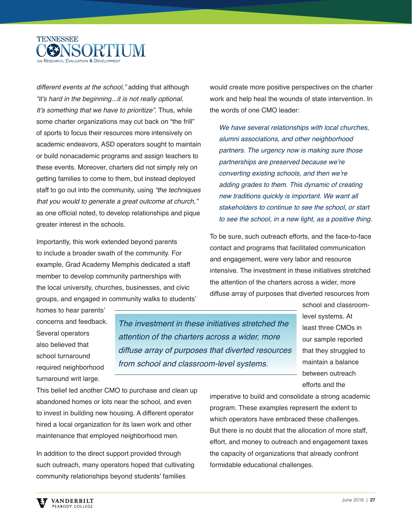

different events at the school," adding that although "it's hard in the beginning...it is not really optional. It's something that we have to prioritize". Thus, while some charter organizations may cut back on "the frill" of sports to focus their resources more intensively on academic endeavors, ASD operators sought to maintain or build nonacademic programs and assign teachers to these events. Moreover, charters did not simply rely on getting families to come to them, but instead deployed staff to go out into the community, using "the techniques" that you would to generate a great outcome at church," as one official noted, to develop relationships and pique greater interest in the schools.

Importantly, this work extended beyond parents to include a broader swath of the community. For example, Grad Academy Memphis dedicated a staff member to develop community partnerships with the local university, churches, businesses, and civic groups, and engaged in community walks to students' would create more positive perspectives on the charter work and help heal the wounds of state intervention. In the words of one CMO leader:

We have several relationships with local churches, alumni associations, and other neighborhood partners. The urgency now is making sure those partnerships are preserved because we're converting existing schools, and then we're adding grades to them. This dynamic of creating new traditions quickly is important. We want all stakeholders to continue to see the school, or start to see the school, in a new light, as a positive thing.

To be sure, such outreach efforts, and the face-to-face contact and programs that facilitated communication and engagement, were very labor and resource intensive. The investment in these initiatives stretched the attention of the charters across a wider, more diffuse array of purposes that diverted resources from

homes to hear parents' concerns and feedback. Several operators also believed that school turnaround required neighborhood turnaround writ large.

The investment in these initiatives stretched the attention of the charters across a wider, more diffuse array of purposes that diverted resources from school and classroom-level systems.

school and classroomlevel systems. At least three CMOs in our sample reported that they struggled to maintain a balance between outreach efforts and the

This belief led another CMO to purchase and clean up abandoned homes or lots near the school, and even to invest in building new housing. A different operator hired a local organization for its lawn work and other maintenance that employed neighborhood men.

In addition to the direct support provided through such outreach, many operators hoped that cultivating community relationships beyond students' families

imperative to build and consolidate a strong academic program. These examples represent the extent to which operators have embraced these challenges. But there is no doubt that the allocation of more staff, effort, and money to outreach and engagement taxes the capacity of organizations that already confront formidable educational challenges.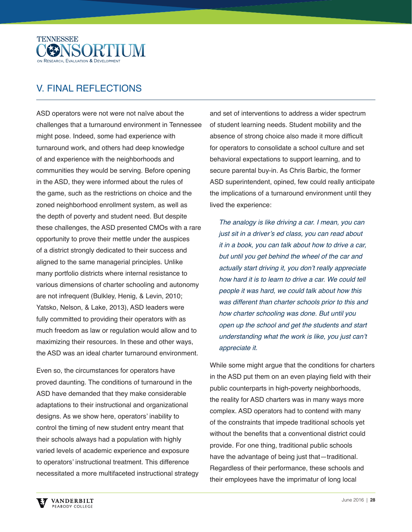

# V. FINAL REFLECTIONS

ASD operators were not were not naïve about the challenges that a turnaround environment in Tennessee might pose. Indeed, some had experience with turnaround work, and others had deep knowledge of and experience with the neighborhoods and communities they would be serving. Before opening in the ASD, they were informed about the rules of the game, such as the restrictions on choice and the zoned neighborhood enrollment system, as well as the depth of poverty and student need. But despite these challenges, the ASD presented CMOs with a rare opportunity to prove their mettle under the auspices of a district strongly dedicated to their success and aligned to the same managerial principles. Unlike many portfolio districts where internal resistance to various dimensions of charter schooling and autonomy are not infrequent (Bulkley, Henig, & Levin, 2010; Yatsko, Nelson, & Lake, 2013), ASD leaders were fully committed to providing their operators with as much freedom as law or regulation would allow and to maximizing their resources. In these and other ways, the ASD was an ideal charter turnaround environment.

Even so, the circumstances for operators have proved daunting. The conditions of turnaround in the ASD have demanded that they make considerable adaptations to their instructional and organizational designs. As we show here, operators' inability to control the timing of new student entry meant that their schools always had a population with highly varied levels of academic experience and exposure to operators' instructional treatment. This difference necessitated a more multifaceted instructional strategy

and set of interventions to address a wider spectrum of student learning needs. Student mobility and the absence of strong choice also made it more difficult for operators to consolidate a school culture and set behavioral expectations to support learning, and to secure parental buy-in. As Chris Barbic, the former ASD superintendent, opined, few could really anticipate the implications of a turnaround environment until they lived the experience:

The analogy is like driving a car. I mean, you can just sit in a driver's ed class, you can read about it in a book, you can talk about how to drive a car, but until you get behind the wheel of the car and actually start driving it, you don't really appreciate how hard it is to learn to drive a car. We could tell people it was hard, we could talk about how this was different than charter schools prior to this and how charter schooling was done. But until you open up the school and get the students and start understanding what the work is like, you just can't appreciate it.

While some might argue that the conditions for charters in the ASD put them on an even playing field with their public counterparts in high-poverty neighborhoods, the reality for ASD charters was in many ways more complex. ASD operators had to contend with many of the constraints that impede traditional schools yet without the benefits that a conventional district could provide. For one thing, traditional public schools have the advantage of being just that—traditional. Regardless of their performance, these schools and their employees have the imprimatur of long local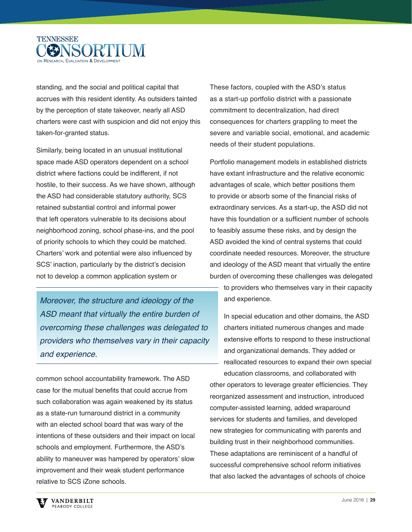

standing, and the social and political capital that accrues with this resident identity. As outsiders tainted by the perception of state takeover, nearly all ASD charters were cast with suspicion and did not enjoy this taken-for-granted status.

Similarly, being located in an unusual institutional space made ASD operators dependent on a school district where factions could be indifferent, if not hostile, to their success. As we have shown, although the ASD had considerable statutory authority, SCS retained substantial control and informal power that left operators vulnerable to its decisions about neighborhood zoning, school phase-ins, and the pool of priority schools to which they could be matched. Charters' work and potential were also influenced by SCS' inaction, particularly by the district's decision not to develop a common application system or

Moreover, the structure and ideology of the ASD meant that virtually the entire burden of overcoming these challenges was delegated to providers who themselves vary in their capacity and experience.

common school accountability framework. The ASD case for the mutual benefits that could accrue from such collaboration was again weakened by its status as a state-run turnaround district in a community with an elected school board that was wary of the intentions of these outsiders and their impact on local schools and employment. Furthermore, the ASD's ability to maneuver was hampered by operators' slow improvement and their weak student performance relative to SCS iZone schools.

These factors, coupled with the ASD's status as a start-up portfolio district with a passionate commitment to decentralization, had direct consequences for charters grappling to meet the severe and variable social, emotional, and academic needs of their student populations.

Portfolio management models in established districts have extant infrastructure and the relative economic advantages of scale, which better positions them to provide or absorb some of the financial risks of extraordinary services. As a start-up, the ASD did not have this foundation or a sufficient number of schools to feasibly assume these risks, and by design the ASD avoided the kind of central systems that could coordinate needed resources. Moreover, the structure and ideology of the ASD meant that virtually the entire burden of overcoming these challenges was delegated to providers who themselves vary in their capacity

and experience.

In special education and other domains, the ASD charters initiated numerous changes and made extensive efforts to respond to these instructional and organizational demands. They added or reallocated resources to expand their own special education classrooms, and collaborated with

other operators to leverage greater efficiencies. They reorganized assessment and instruction, introduced computer-assisted learning, added wraparound services for students and families, and developed new strategies for communicating with parents and building trust in their neighborhood communities. These adaptations are reminiscent of a handful of successful comprehensive school reform initiatives that also lacked the advantages of schools of choice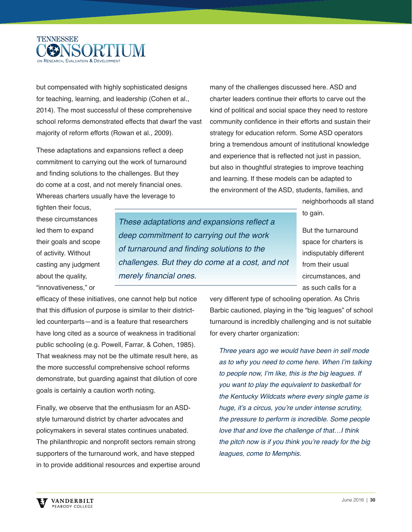

but compensated with highly sophisticated designs for teaching, learning, and leadership (Cohen et al., 2014). The most successful of these comprehensive school reforms demonstrated effects that dwarf the vast majority of reform efforts (Rowan et al., 2009).

These adaptations and expansions reflect a deep commitment to carrying out the work of turnaround and finding solutions to the challenges. But they do come at a cost, and not merely financial ones. Whereas charters usually have the leverage to

many of the challenges discussed here. ASD and charter leaders continue their efforts to carve out the kind of political and social space they need to restore community confidence in their efforts and sustain their strategy for education reform. Some ASD operators bring a tremendous amount of institutional knowledge and experience that is reflected not just in passion, but also in thoughtful strategies to improve teaching and learning. If these models can be adapted to the environment of the ASD, students, families, and

> neighborhoods all stand to gain.

tighten their focus, these circumstances led them to expand their goals and scope of activity. Without casting any judgment about the quality, "innovativeness," or

These adaptations and expansions reflect a deep commitment to carrying out the work of turnaround and finding solutions to the challenges. But they do come at a cost, and not merely financial ones.

But the turnaround space for charters is indisputably different from their usual circumstances, and as such calls for a

efficacy of these initiatives, one cannot help but notice that this diffusion of purpose is similar to their districtled counterparts—and is a feature that researchers have long cited as a source of weakness in traditional public schooling (e.g. Powell, Farrar, & Cohen, 1985). That weakness may not be the ultimate result here, as the more successful comprehensive school reforms demonstrate, but guarding against that dilution of core goals is certainly a caution worth noting.

Finally, we observe that the enthusiasm for an ASDstyle turnaround district by charter advocates and policymakers in several states continues unabated. The philanthropic and nonprofit sectors remain strong supporters of the turnaround work, and have stepped in to provide additional resources and expertise around very different type of schooling operation. As Chris Barbic cautioned, playing in the "big leagues" of school turnaround is incredibly challenging and is not suitable for every charter organization:

Three years ago we would have been in sell mode as to why you need to come here. When I'm talking to people now, I'm like, this is the big leagues. If you want to play the equivalent to basketball for the Kentucky Wildcats where every single game is huge, it's a circus, you're under intense scrutiny, the pressure to perform is incredible. Some people love that and love the challenge of that…I think the pitch now is if you think you're ready for the big leagues, come to Memphis.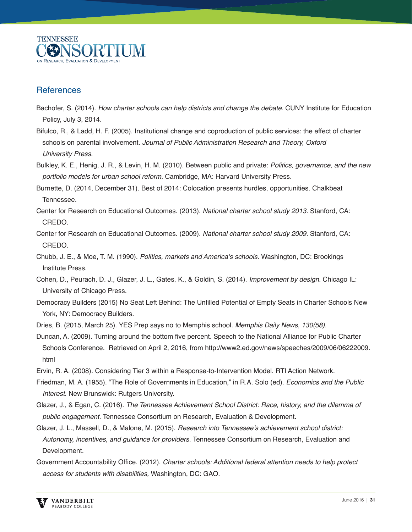

### **References**

- Bachofer, S. (2014). How charter schools can help districts and change the debate. CUNY Institute for Education Policy, July 3, 2014.
- Bifulco, R., & Ladd, H. F. (2005). Institutional change and coproduction of public services: the effect of charter schools on parental involvement. Journal of Public Administration Research and Theory, Oxford University Press.
- Bulkley, K. E., Henig, J. R., & Levin, H. M. (2010). Between public and private: Politics, governance, and the new portfolio models for urban school reform. Cambridge, MA: Harvard University Press.
- Burnette, D. (2014, December 31). Best of 2014: Colocation presents hurdles, opportunities. Chalkbeat Tennessee.
- Center for Research on Educational Outcomes. (2013). National charter school study 2013. Stanford, CA: CREDO.
- Center for Research on Educational Outcomes. (2009). National charter school study 2009. Stanford, CA: CREDO.
- Chubb, J. E., & Moe, T. M. (1990). Politics, markets and America's schools. Washington, DC: Brookings Institute Press.
- Cohen, D., Peurach, D. J., Glazer, J. L., Gates, K., & Goldin, S. (2014). Improvement by design. Chicago IL: University of Chicago Press.
- Democracy Builders (2015) No Seat Left Behind: The Unfilled Potential of Empty Seats in Charter Schools New York, NY: Democracy Builders.
- Dries, B. (2015, March 25). YES Prep says no to Memphis school. Memphis Daily News, 130(58).
- Duncan, A. (2009). Turning around the bottom five percent. Speech to the National Alliance for Public Charter Schools Conference. Retrieved on April 2, 2016, from http://www2.ed.gov/news/speeches/2009/06/06222009. html
- Ervin, R. A. (2008). Considering Tier 3 within a Response-to-Intervention Model. RTI Action Network.
- Friedman, M. A. (1955). "The Role of Governments in Education," in R.A. Solo (ed). Economics and the Public Interest. New Brunswick: Rutgers University.
- Glazer, J., & Egan, C. (2016). The Tennessee Achievement School District: Race, history, and the dilemma of public engagement. Tennessee Consortium on Research, Evaluation & Development.
- Glazer, J. L., Massell, D., & Malone, M. (2015). Research into Tennessee's achievement school district: Autonomy, incentives, and guidance for providers. Tennessee Consortium on Research, Evaluation and Development.
- Government Accountability Office. (2012). Charter schools: Additional federal attention needs to help protect access for students with disabilities, Washington, DC: GAO.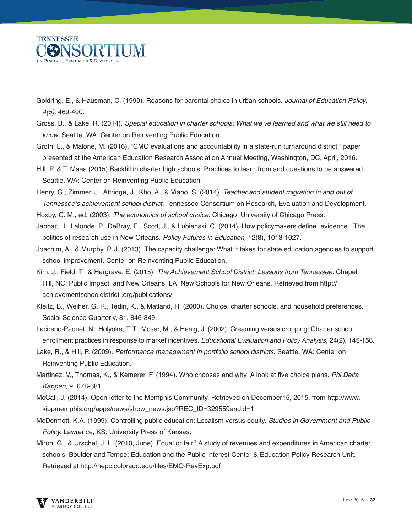

- Goldring, E., & Hausman, C. (1999). Reasons for parental choice in urban schools. Journal of Education Policy, 4(5), 469-490.
- Gross, B., & Lake, R. (2014). Special education in charter schools: What we've learned and what we still need to know. Seattle, WA: Center on Reinventing Public Education.
- Groth, L., & Malone, M. (2016). "CMO evaluations and accountability in a state-run turnaround district," paper presented at the American Education Research Association Annual Meeting, Washington, DC, April, 2016.
- Hill, P. & T. Maas (2015) Backfill in charter high schools: Practices to learn from and questions to be answered. Seattle, WA: Center on Reinventing Public Education.

Henry, G., Zimmer, J., Attridge, J., Kho, A., & Viano, S. (2014). Teacher and student migration in and out of Tennessee's achievement school district. Tennessee Consortium on Research, Evaluation and Development.

Hoxby, C. M., ed. (2003). The economics of school choice. Chicago: University of Chicago Press.

- Jabbar, H., Lalonde, P., DeBray, E., Scott, J., & Lubienski, C. (2014). How policymakers define "evidence": The politics of research use in New Orleans. Policy Futures in Education, 12(8), 1013-1027.
- Joachim, A., & Murphy, P. J. (2013). The capacity challenge: What it takes for state education agencies to support school improvement. Center on Reinventing Public Education.
- Kim, J., Field, T., & Hargrave, E. (2015). The Achievement School District: Lessons from Tennessee. Chapel Hill, NC: Public Impact, and New Orleans, LA: New Schools for New Orleans. Retrieved from http:// achievementschooldistrict .org/publications/
- Kleitz, B., Weiher, G. R., Tedin, K., & Matland, R. (2000). Choice, charter schools, and household preferences. Social Science Quarterly, 81, 846-849.
- Lacireno-Paquet, N., Holyoke, T. T., Moser, M., & Henig, J. (2002). Creaming versus cropping: Charter school enrollment practices in response to market incentives. Educational Evaluation and Policy Analysis, 24(2), 145-158.
- Lake, R., & Hill, P. (2009). Performance management in portfolio school districts. Seattle, WA: Center on Reinventing Public Education.
- Martinez, V., Thomas, K., & Kemerer, F. (1994). Who chooses and why: A look at five choice plans. Phi Delta Kappan, 9, 678-681.
- McCall, J. (2014). Open letter to the Memphis Community. Retrieved on December15, 2015, from http://www. kippmemphis.org/apps/news/show\_news.jsp?REC\_ID=329559andid=1
- McDermott, K.A. (1999). Controlling public education: Localism versus equity. Studies in Government and Public Policy. Lawrence, KS: University Press of Kansas.
- Miron, G., & Urschel, J. L. (2010, June). Equal or fair? A study of revenues and expenditures in American charter schools. Boulder and Tempe: Education and the Public Interest Center & Education Policy Research Unit. Retrieved at http://nepc.colorado.edu/files/EMO-RevExp.pdf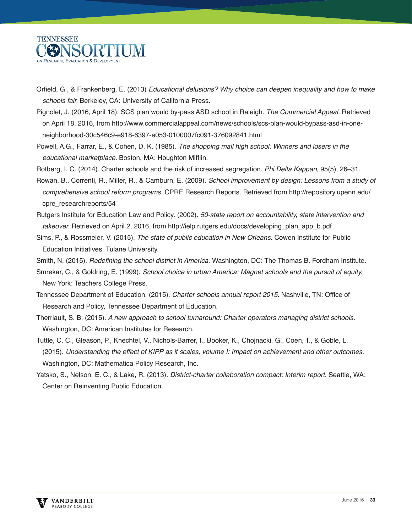

- Orfield, G., & Frankenberg, E. (2013) Educational delusions? Why choice can deepen inequality and how to make schools fair. Berkeley, CA: University of California Press.
- Pignolet, J. (2016, April 18). SCS plan would by-pass ASD school in Raleigh. The Commercial Appeal. Retrieved on April 18, 2016, from http://www.commercialappeal.com/news/schools/scs-plan-would-bypass-asd-in-oneneighborhood-30c546c9-e918-6397-e053-0100007fc091-376092841.html
- Powell, A.G., Farrar, E., & Cohen, D. K. (1985). The shopping mall high school: Winners and losers in the educational marketplace. Boston, MA: Houghton Mifflin.
- Rotberg, I. C. (2014). Charter schools and the risk of increased segregation. Phi Delta Kappan, 95(5), 26–31.
- Rowan, B., Correnti, R., Miller, R., & Camburn, E. (2009). School improvement by design: Lessons from a study of comprehensive school reform programs. CPRE Research Reports. Retrieved from http://repository.upenn.edu/ cpre\_researchreports/54
- Rutgers Institute for Education Law and Policy. (2002). 50-state report on accountability, state intervention and takeover. Retrieved on April 2, 2016, from http://ielp.rutgers.edu/docs/developing\_plan\_app\_b.pdf
- Sims, P., & Rossmeier, V. (2015). The state of public education in New Orleans. Cowen Institute for Public Education Initiatives, Tulane University.
- Smith, N. (2015). Redefining the school district in America. Washington, DC: The Thomas B. Fordham Institute.
- Smrekar, C., & Goldring, E. (1999). School choice in urban America: Magnet schools and the pursuit of equity. New York: Teachers College Press.
- Tennessee Department of Education. (2015). Charter schools annual report 2015. Nashville, TN: Office of Research and Policy, Tennessee Department of Education.
- Therriault, S. B. (2015). A new approach to school turnaround: Charter operators managing district schools. Washington, DC: American Institutes for Research.
- Tuttle, C. C., Gleason, P., Knechtel, V., Nichols-Barrer, I., Booker, K., Chojnacki, G., Coen, T., & Goble, L. (2015). Understanding the effect of KIPP as it scales, volume I: Impact on achievement and other outcomes. Washington, DC: Mathematica Policy Research, Inc.
- Yatsko, S., Nelson, E. C., & Lake, R. (2013). District-charter collaboration compact: Interim report. Seattle, WA: Center on Reinventing Public Education.